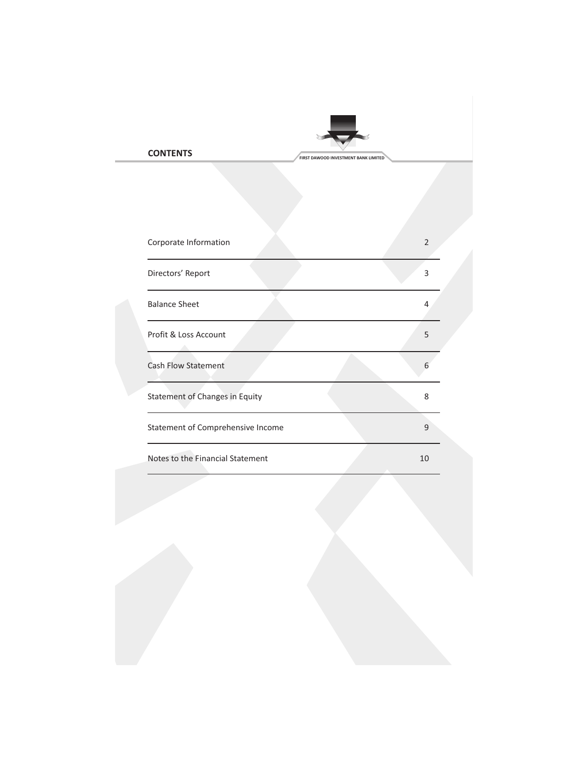# **FIRST DAWOOD INVESTMENT BANK LIMITED**

| Corporate Information                 | $\overline{2}$ |  |
|---------------------------------------|----------------|--|
| Directors' Report                     | 3              |  |
| <b>Balance Sheet</b>                  | 4              |  |
| Profit & Loss Account                 | 5              |  |
| Cash Flow Statement                   | 6              |  |
| <b>Statement of Changes in Equity</b> | 8              |  |
| Statement of Comprehensive Income     | 9              |  |
| Notes to the Financial Statement      | 10             |  |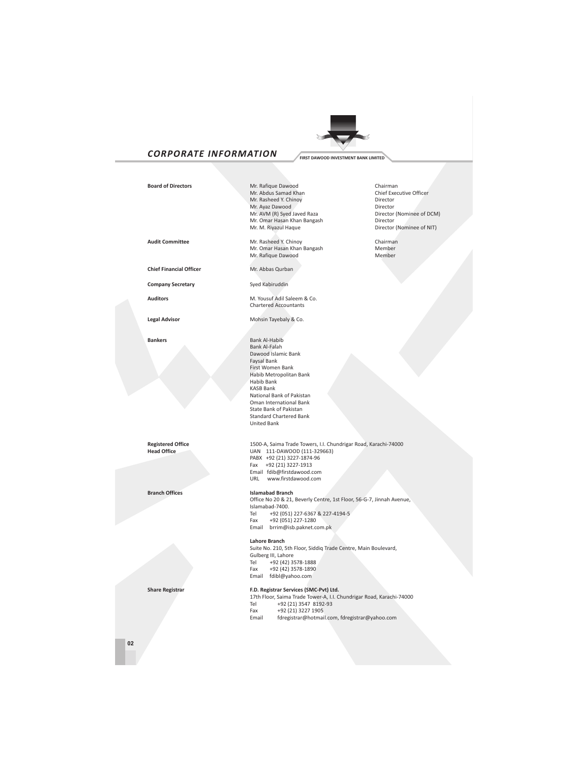

# *CORPORATE INFORMATION* **FIRST DAWOOD INVESTMENT BANK LIMITED**

**Branch Offices Islamabad Branch** 



## **Board of Directors** Mr. Rafique Dawood Chairman Chairman Chairman Chief Executive Officer Mr. Abdus Samad Khan Chief Executive Officer Chief Executive Officer Chief Executive Officer Officer Officer Officer Officer Officer Officer Officer Officer Officer Officer Officer Officer Officer Officer Officer Officer O Mr. Rasheed Y. Chinoy Mr. Ayaz Dawood Director Mr. AVM (R) Syed Javed Raza Director (Nominee of DCM) Mr. Omar Hasan Khan Bangash<br>Mr. Omar Hasan Khan Bangash Director<br>Mr. M. Riyazul Haque Director

**Audit Committee Chairman** Mr. Rasheed Y. Chinoy Chairman Chairman Chairman Mr. Omar Hasan Khan Bangash Mr. Omar Hasan Khan Bangash **Member**<br>Mr. Rafique Dawood Member Mr. Rafique Dawood

**Chief Financial Officer** Mr. Abbas Qurban

**Company Secretary** Syed Kabiruddin

**Auditors M. Yousuf Adil Saleem & Co.**<br>
Chartered Accountants

Legal Advisor **Mohsin Tayebaly & Co.** 

**Bankers** Bank Al-Habib Bank Al-Falah Dawood Islamic Bank Faysal Bank First Women Bank Habib Metropolitan Bank Habib Bank KASB Bank National Bank of Pakistan Oman International Bank State Bank of Pakistan Standard Chartered Bank United Bank

**Registered Office** 1500-A, Saima Trade Towers, I.I. Chundrigar Road, Karachi-74000<br> **111-DAWOOD** (111-329663) UAN 111-DAWOOD (111-329663) PABX +92 (21) 3227-1874-96 Fax +92 (21) 3227-1913 Email fdib@firstdawood.com URL www.firstdawood.com

> Office No 20 & 21, Beverly Centre, 1st Floor, 56-G-7, Jinnah Avenue, Islamabad-7400. Tel +92 (051) 227-6367 & 227-4194-5 Fax +92 (051) 227-1280 Email brrim@isb.paknet.com.pk

#### **Lahore Branch**

Suite No. 210, 5th Floor, Siddiq Trade Centre, Main Boulevard, Gulberg III, Lahore Tel +92 (42) 3578-1888 Fax +92 (42) 3578-1890 Email fdibl@yahoo.com

#### **Share Registrar F.D. Registrar Services (SMC-Pvt) Ltd.**

17th Floor, Saima Trade Tower-A, I.I. Chundrigar Road, Karachi-74000 Tel +92 (21) 3547 8192-93<br>Fax +92 (21) 3227 1905 Fax +92 (21) 3227 1905 Email fdregistrar@hotmail.com, fdregistrar@yahoo.com

Director (Nominee of NIT)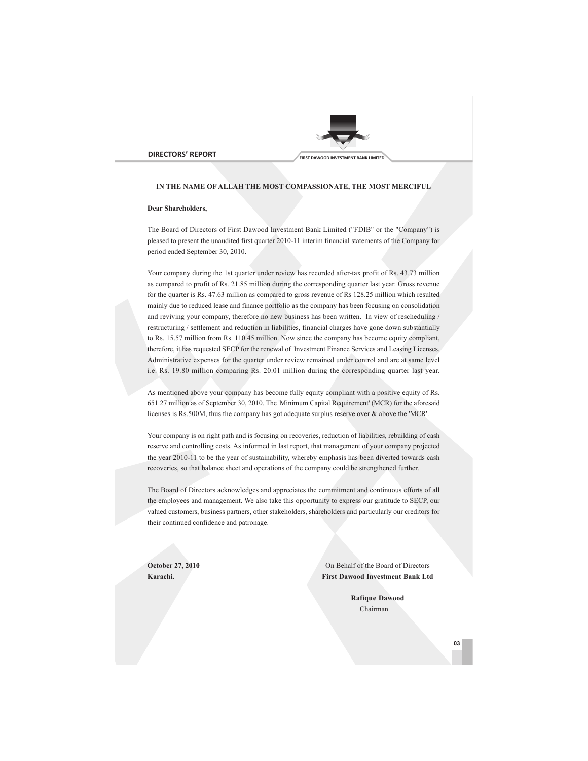



## **IN THE NAME OF ALLAH THE MOST COMPASSIONATE, THE MOST MERCIFUL**

#### **Dear Shareholders,**

The Board of Directors of First Dawood Investment Bank Limited ("FDIB" or the "Company") is pleased to present the unaudited first quarter 2010-11 interim financial statements of the Company for period ended September 30, 2010.

Your company during the 1st quarter under review has recorded after-tax profit of Rs. 43.73 million as compared to profit of Rs. 21.85 million during the corresponding quarter last year. Gross revenue for the quarter is Rs. 47.63 million as compared to gross revenue of Rs 128.25 million which resulted mainly due to reduced lease and finance portfolio as the company has been focusing on consolidation and reviving your company, therefore no new business has been written. In view of rescheduling / restructuring / settlement and reduction in liabilities, financial charges have gone down substantially to Rs. 15.57 million from Rs. 110.45 million. Now since the company has become equity compliant, therefore, it has requested SECP for the renewal of 'Investment Finance Services and Leasing Licenses. Administrative expenses for the quarter under review remained under control and are at same level i.e. Rs. 19.80 million comparing Rs. 20.01 million during the corresponding quarter last year.

As mentioned above your company has become fully equity compliant with a positive equity of Rs. 651.27 million as of September 30, 2010. The 'Minimum Capital Requirement' (MCR) for the aforesaid licenses is Rs.500M, thus the company has got adequate surplus reserve over & above the 'MCR'.

Your company is on right path and is focusing on recoveries, reduction of liabilities, rebuilding of cash reserve and controlling costs. As informed in last report, that management of your company projected the year 2010-11 to be the year of sustainability, whereby emphasis has been diverted towards cash recoveries, so that balance sheet and operations of the company could be strengthened further.

The Board of Directors acknowledges and appreciates the commitment and continuous efforts of all the employees and management. We also take this opportunity to express our gratitude to SECP, our valued customers, business partners, other stakeholders, shareholders and particularly our creditors for their continued confidence and patronage.

**October 27, 2010** On Behalf of the Board of Directors **Karachi. First Dawood Investment Bank Ltd**

> **Rafique Dawood** Chairman

> > **03**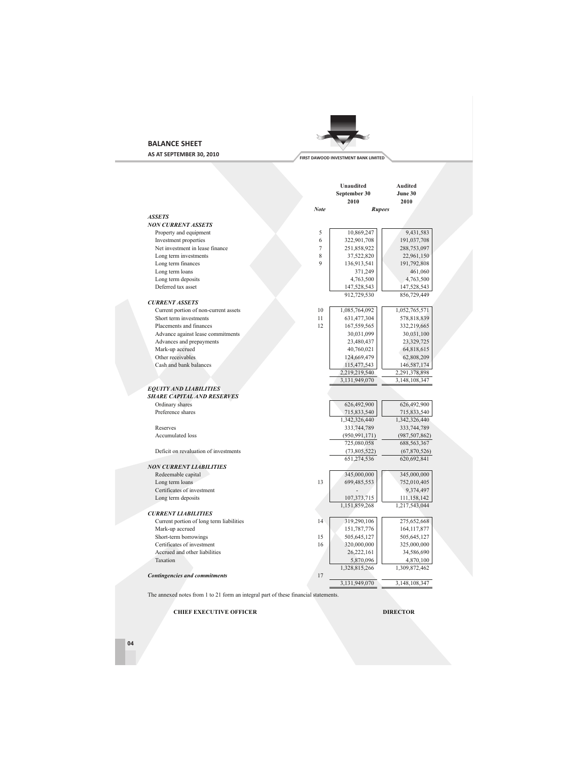## **BALANCE SHEET**

**AS AT SEPTEMBER 30, 2010**



|                                          |      | <b>Unaudited</b><br>September 30<br>2010 | <b>Audited</b><br>June 30<br>2010 |
|------------------------------------------|------|------------------------------------------|-----------------------------------|
|                                          | Note | <b>Rupees</b>                            |                                   |
| <b>ASSETS</b>                            |      |                                          |                                   |
| <b>NON CURRENT ASSETS</b>                |      |                                          |                                   |
| Property and equipment                   | 5    | 10,869,247                               | 9,431,583                         |
| Investment properties                    | 6    | 322,901,708                              | 191,037,708                       |
| Net investment in lease finance          | 7    | 251,858,922                              | 288,753,097                       |
| Long term investments                    | 8    | 37,522,820                               | 22,961,150                        |
| Long term finances                       | 9    | 136,913,541                              | 191,792,808                       |
| Long term loans                          |      | 371,249                                  | 461,060                           |
| Long term deposits                       |      | 4,763,500                                | 4,763,500                         |
| Deferred tax asset                       |      | 147,528,543                              | 147,528,543                       |
|                                          |      | 912,729,530                              | 856,729,449                       |
| <b>CURRENT ASSETS</b>                    |      |                                          |                                   |
| Current portion of non-current assets    | 10   | 1,085,764,092                            | 1,052,765,571                     |
| Short term investments                   | 11   | 631,477,304                              | 578,818,839                       |
| Placements and finances                  | 12   | 167,559,565                              | 332,219,665                       |
| Advance against lease commitments        |      | 30,031,099                               | 30,031,100                        |
| Advances and prepayments                 |      | 23,480,437                               | 23,329,725                        |
| Mark-up accrued                          |      | 40,760,021                               | 64,818,615                        |
| Other receivables                        |      | 124,669,479                              | 62,808,209                        |
| Cash and bank balances                   |      | 115,477,543                              | 146,587,174                       |
|                                          |      | 2,219,219,540                            | 2,291,378,898                     |
|                                          |      | 3,131,949,070                            | 3,148,108,347                     |
| <b>EQUITY AND LIABILITIES</b>            |      |                                          |                                   |
| <b>SHARE CAPITAL AND RESERVES</b>        |      |                                          |                                   |
| Ordinary shares                          |      | 626,492,900                              | 626,492,900                       |
| Preference shares                        |      | 715,833,540                              | 715,833,540                       |
|                                          |      | 1,342,326,440                            | 1,342,326,440                     |
| Reserves                                 |      | 333,744,789                              | 333,744,789                       |
| Accumulated loss                         |      | (950, 991, 171)                          | (987, 507, 862)                   |
|                                          |      | 725,080,058                              | 688, 563, 367                     |
| Deficit on revaluation of investments    |      | (73,805,522)                             | (67,870,526)                      |
|                                          |      | 651,274,536                              | 620,692,841                       |
| <b>NON CURRENT LIABILITIES</b>           |      |                                          |                                   |
| Redeemable capital                       |      | 345,000,000                              | 345,000,000                       |
| Long term loans                          | 13   | 699,485,553                              | 752,010,405                       |
| Certificates of investment               |      |                                          | 9,374,497                         |
| Long term deposits                       |      | 107,373,715                              | 111,158,142                       |
|                                          |      | 1,151,859,268                            | 1,217,543,044                     |
| <b>CURRENT LIABILITIES</b>               |      |                                          |                                   |
| Current portion of long term liabilities | 14   | 319,290,106                              | 275,652,668                       |
| Mark-up accrued                          |      | 151,787,776                              | 164, 117, 877                     |
| Short-term borrowings                    | 15   | 505,645,127                              | 505,645,127                       |
| Certificates of investment               | 16   | 320,000,000                              | 325,000,000                       |
| Accrued and other liabilities            |      | 26,222,161                               | 34,586,690                        |
| Taxation                                 |      | 5,870,096                                | 4,870,100                         |
|                                          |      | 1,328,815,266                            | 1,309,872,462                     |
| <b>Contingencies and commitments</b>     | 17   |                                          |                                   |
|                                          |      | 3,131,949,070                            | 3,148,108,347                     |

The annexed notes from 1 to 21 form an integral part of these financial statements.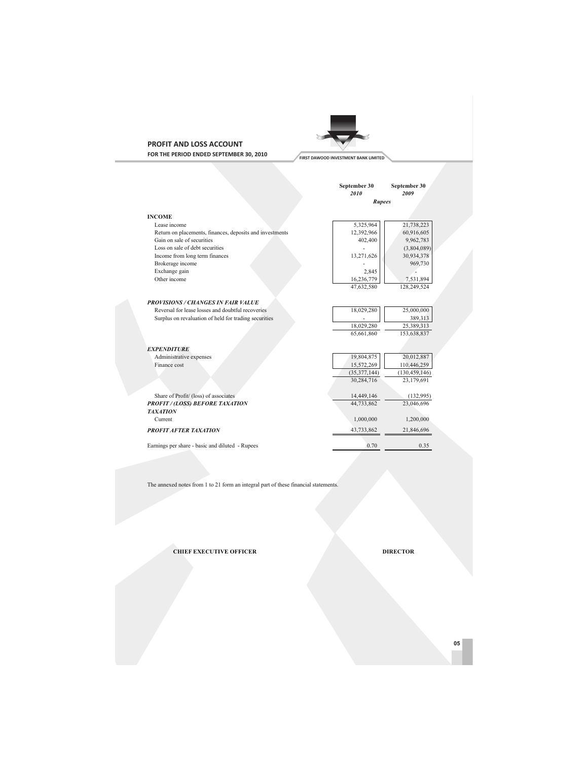## **PROFIT AND LOSS ACCOUNT FOR THE PERIOD ENDED SEPTEMBER 30, 2010**



|                                                          | September 30<br>2010<br><b>Rupees</b> | September 30<br>2009 |
|----------------------------------------------------------|---------------------------------------|----------------------|
|                                                          |                                       |                      |
| <b>INCOME</b>                                            |                                       |                      |
| Lease income                                             | 5,325,964                             | 21,738,223           |
| Return on placements, finances, deposits and investments | 12,392,966                            | 60,916,605           |
| Gain on sale of securities                               | 402,400                               | 9,962,783            |
| Loss on sale of debt securities                          |                                       | (3,804,089)          |
| Income from long term finances                           | 13,271,626                            | 30,934,378           |
| Brokerage income                                         |                                       | 969,730              |
| Exchange gain                                            | 2,845                                 |                      |
| Other income                                             | 16,236,779                            | 7,531,894            |
|                                                          | 47,632,580                            | 128,249,524          |
| <b>PROVISIONS / CHANGES IN FAIR VALUE</b>                |                                       |                      |
| Reversal for lease losses and doubtful recoveries        | 18,029,280                            | 25,000,000           |
| Surplus on revaluation of held for trading securities    |                                       | 389,313              |
|                                                          | 18,029,280                            | 25,389,313           |
|                                                          | 65,661,860                            | 153,638,837          |
|                                                          |                                       |                      |
| <b>EXPENDITURE</b>                                       |                                       |                      |
| Administrative expenses                                  | 19,804,875                            | 20,012,887           |
| Finance cost                                             | 15,572,269                            | 110,446,259          |
|                                                          | (35,377,144)                          | (130, 459, 146)      |
|                                                          | 30,284,716                            | 23,179,691           |
| Share of Profit/ (loss) of associates                    | 14,449,146                            | (132,995)            |
| <b>PROFIT/(LOSS) BEFORE TAXATION</b>                     | 44,733,862                            | 23,046,696           |
| <b>TAXATION</b>                                          |                                       |                      |
| Current                                                  | 1,000,000                             | 1,200,000            |
| <b>PROFIT AFTER TAXATION</b>                             | 43,733,862                            | 21,846,696           |
| Earnings per share - basic and diluted - Rupees          | 0.70                                  | 0.35                 |
|                                                          |                                       |                      |

The annexed notes from 1 to 21 form an integral part of these financial statements.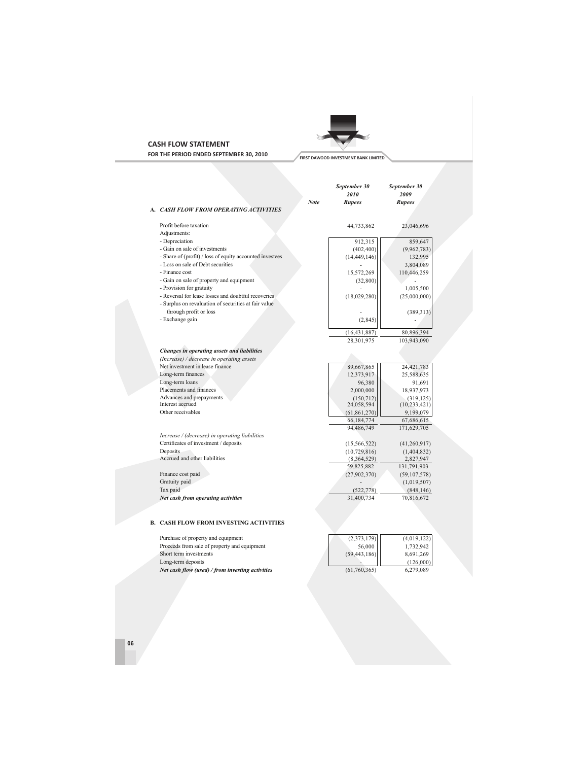# **CASH FLOW STATEMENT**



**FOR THE PERIOD ENDED SEPTEMBER 30, 2010**

|                                                          |      | September 30<br>2010 | September 30<br>2009 |
|----------------------------------------------------------|------|----------------------|----------------------|
|                                                          | Note | <b>Rupees</b>        | Rupees               |
| A. CASH FLOW FROM OPERATING ACTIVITIES                   |      |                      |                      |
| Profit before taxation                                   |      | 44,733,862           | 23,046,696           |
| Adjustments:                                             |      |                      |                      |
| - Depreciation                                           |      | 912,315              | 859,647              |
| - Gain on sale of investments                            |      | (402, 400)           | (9,962,783)          |
| - Share of (profit) / loss of equity accounted investees |      | (14, 449, 146)       | 132,995              |
| - Loss on sale of Debt securities                        |      |                      | 3,804,089            |
| - Finance cost                                           |      | 15,572,269           | 110,446,259          |
| - Gain on sale of property and equipment                 |      | (32, 800)            |                      |
| - Provision for gratuity                                 |      |                      | 1,005,500            |
| - Reversal for lease losses and doubtful recoveries      |      | (18,029,280)         | (25,000,000)         |
| - Surplus on revaluation of securities at fair value     |      |                      |                      |
| through profit or loss                                   |      |                      | (389, 313)           |
| - Exchange gain                                          |      | (2, 845)             |                      |
|                                                          |      |                      |                      |
|                                                          |      | (16, 431, 887)       | 80,896,394           |
|                                                          |      | 28,301,975           | 103,943,090          |
| Changes in operating assets and liabilities              |      |                      |                      |
| (Increase) / decrease in operating assets                |      |                      |                      |
| Net investment in lease finance                          |      | 89,667,865           | 24,421,783           |
| Long-term finances                                       |      | 12,373,917           | 25,588,635           |
| Long-term loans                                          |      | 96,380               | 91,691               |
| Placements and finances                                  |      | 2,000,000            | 18,937,973           |
| Advances and prepayments                                 |      | (150, 712)           | (319, 125)           |
| Interest accrued                                         |      | 24,058,594           | (10, 233, 421)       |
| Other receivables                                        |      | (61, 861, 270)       | 9,199,079            |
|                                                          |      | 66,184,774           | 67,686,615           |
|                                                          |      | 94,486,749           | 171,629,705          |
| Increase / (decrease) in operating liabilities           |      |                      |                      |
| Certificates of investment / deposits                    |      | (15, 566, 522)       | (41,260,917)         |
| Deposits                                                 |      | (10, 729, 816)       | (1,404,832)          |
| Accrued and other liabilities                            |      | (8,364,529)          | 2,827,947            |
|                                                          |      | 59,825,882           | 131,791,903          |
| Finance cost paid                                        |      | (27, 902, 370)       | (59, 107, 578)       |
| Gratuity paid                                            |      |                      | (1,019,507)          |
| Tax paid                                                 |      | (522, 778)           | (848, 146)           |
| Net cash from operating activities                       |      | 31,400,734           | 70,816,672           |
|                                                          |      |                      |                      |
|                                                          |      |                      |                      |
| <b>B. CASH FLOW FROM INVESTING ACTIVITIES</b>            |      |                      |                      |
| Purchase of property and equipment                       |      | (2,373,179)          | (4,019,122)          |
| Proceeds from sale of property and equipment             |      | 56,000               | 1,732,942            |
| Short term investments                                   |      | (59, 443, 186)       | 8,691,269            |
|                                                          |      |                      |                      |

*Net cash flow (used) / from investing activities*

Long-term deposits

 $\frac{1}{(61,760,365)}$ 

 $\overline{\phantom{a}}$ 

 $-$  (126,000)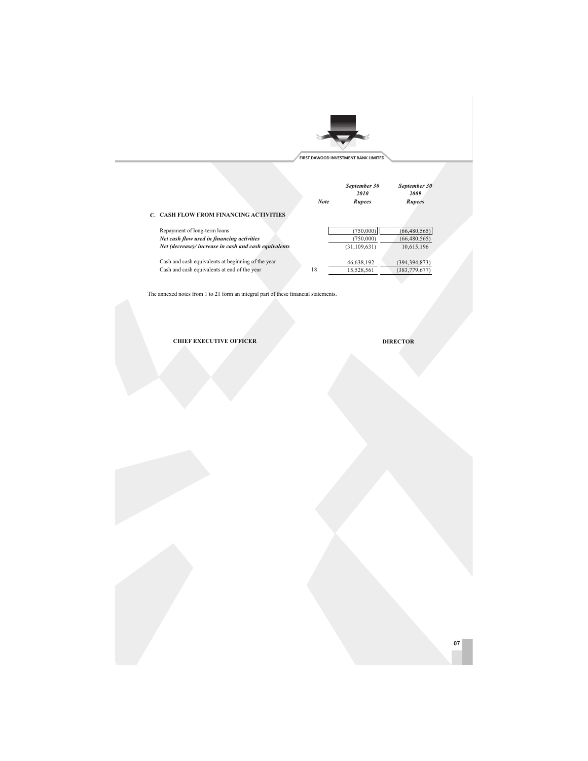

| <b>C. CASH FLOW FROM FINANCING ACTIVITIES</b>        | <b>Note</b> | September 30<br>2010<br>Rupees | September 30<br>2009<br><b>Rupees</b> |  |
|------------------------------------------------------|-------------|--------------------------------|---------------------------------------|--|
| Repayment of long-term loans                         |             | (750,000)                      | (66, 480, 565)                        |  |
| Net cash flow used in financing activities           |             | (750,000)                      | (66, 480, 565)                        |  |
| Net (decrease)/increase in cash and cash equivalents |             | (31, 109, 631)                 | 10,615,196                            |  |
| Cash and cash equivalents at beginning of the year   |             | 46,638,192                     | (394, 394, 873)                       |  |
| Cash and cash equivalents at end of the year         | 18          | 15,528,561                     | (383, 779, 677)                       |  |

The annexed notes from 1 to 21 form an integral part of these financial statements.

**CHIEF EXECUTIVE OFFICER DIRECTOR** 

**07**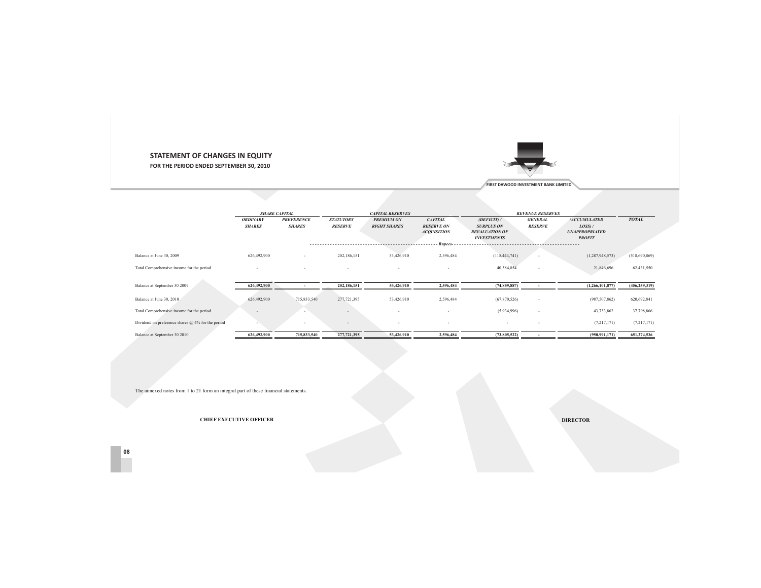## **STATEMENT OF CHANGES IN EQUITY**

**FOR THE PERIOD ENDED SEPTEMBER 30, 2010**



**FIRST DAWOOD INVESTMENT BANK LIMITED**

|                                                         |                                  | <b>SHARE CAPITAL</b>               |                                    | <b>CAPITAL RESERVES</b>                  |                                                                      |                                                                                            | <b>REVENUE RESERVES</b>          |                                                                             |                 |
|---------------------------------------------------------|----------------------------------|------------------------------------|------------------------------------|------------------------------------------|----------------------------------------------------------------------|--------------------------------------------------------------------------------------------|----------------------------------|-----------------------------------------------------------------------------|-----------------|
|                                                         | <b>ORDINARY</b><br><b>SHARES</b> | <b>PREFERENCE</b><br><b>SHARES</b> | <b>STATUTORY</b><br><b>RESERVE</b> | <b>PREMIUM ON</b><br><b>RIGHT SHARES</b> | <b>CAPITAL</b><br><b>RESERVE ON</b><br><b>ACOUISITION</b><br>Rupees- | $(\mathbf{DEFICIT})$ /<br><b>SURPLUS ON</b><br><b>REVALUATION OF</b><br><b>INVESTMENTS</b> | <b>GENERAL</b><br><b>RESERVE</b> | <b>(ACCUMULATED</b><br>$LOSS$ ) /<br><b>UNAPPROPRIATED</b><br><b>PROFIT</b> | <b>TOTAL</b>    |
|                                                         |                                  |                                    |                                    |                                          |                                                                      |                                                                                            |                                  |                                                                             |                 |
| Balance at June 30, 2009                                | 626,492,900                      | $\sim$                             | 202,186,151                        | 53,426,910                               | 2,596,484                                                            | (115, 444, 741)                                                                            | . .                              | (1, 287, 948, 573)                                                          | (518,690,869)   |
| Total Comprehensive income for the period               | $\overline{\phantom{a}}$         | $\sim$                             | $\overline{\phantom{a}}$           | . .                                      | . .                                                                  | 40,584,854                                                                                 | . .                              | 21,846,696                                                                  | 62,431,550      |
|                                                         |                                  |                                    |                                    |                                          |                                                                      |                                                                                            |                                  |                                                                             |                 |
| Balance at September 30 2009                            | 626,492,900                      | $\overline{\phantom{a}}$           | 202,186,151                        | 53,426,910                               | 2,596,484                                                            | (74, 859, 887)                                                                             | $\blacksquare$                   | (1,266,101,877)                                                             | (456, 259, 319) |
|                                                         |                                  |                                    |                                    |                                          |                                                                      |                                                                                            |                                  |                                                                             |                 |
| Balance at June 30, 2010                                | 626,492,900                      | 715,833,540                        | 277,721,395                        | 53,426,910                               | 2,596,484                                                            | (67,870,526)                                                                               | $\sim$                           | (987, 507, 862)                                                             | 620,692,841     |
| Total Comprehensive income for the period               |                                  |                                    |                                    |                                          |                                                                      | (5,934,996)                                                                                | . .                              | 43,733,862                                                                  | 37,798,866      |
| Dividend on preference shares $(a)$ , 4% for the period |                                  | . .                                | $\sim$                             | . .                                      | $\overline{\phantom{a}}$                                             | $\overline{\phantom{a}}$                                                                   | $\overline{\phantom{a}}$         | (7,217,171)                                                                 | (7, 217, 171)   |
| Balance at September 30 2010                            | 626,492,900                      | 715,833,540                        | 277,721,395                        | 53,426,910                               | 2,596,484                                                            | (73,805,522)                                                                               |                                  | (950, 991, 171)                                                             | 651,274,536     |

The annexed notes from 1 to 21 form an integral part of these financial statements.

**08**

**CHIEF EXECUTIVE OFFICER**

**R DIRECTOR**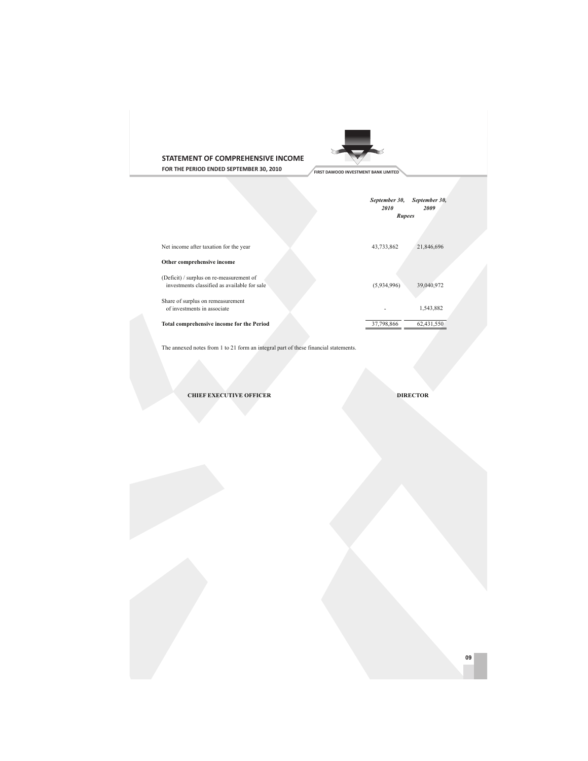

**STATEMENT OF COMPREHENSIVE INCOME**

**FOR THE PERIOD ENDED SEPTEMBER 30, 2010**

|                                                                                          | September 30,<br>September 30,<br>2010<br>2009<br>Rupees |
|------------------------------------------------------------------------------------------|----------------------------------------------------------|
| Net income after taxation for the year                                                   | 43,733,862<br>21,846,696                                 |
| Other comprehensive income                                                               |                                                          |
| (Deficit) / surplus on re-measurement of<br>investments classified as available for sale | 39,040,972<br>(5,934,996)                                |
| Share of surplus on remeasurement<br>of investments in associate                         | 1,543,882                                                |
| Total comprehensive income for the Period                                                | 37,798,866<br>62,431,550                                 |

The annexed notes from 1 to 21 form an integral part of these financial statements.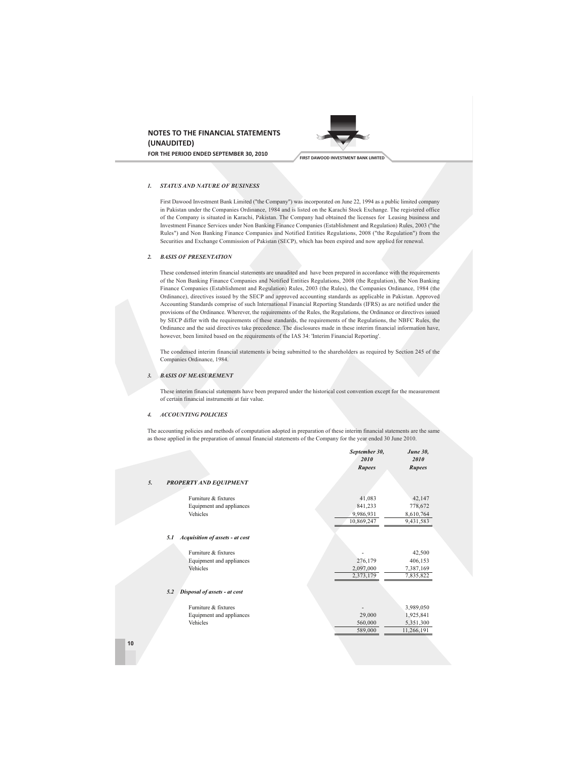



#### *1. STATUS AND NATURE OF BUSINESS*

First Dawood Investment Bank Limited ("the Company") was incorporated on June 22, 1994 as a public limited company in Pakistan under the Companies Ordinance, 1984 and is listed on the Karachi Stock Exchange. The registered office of the Company is situated in Karachi, Pakistan. The Company had obtained the licenses for Leasing business and Investment Finance Services under Non Banking Finance Companies (Establishment and Regulation) Rules, 2003 ("the Rules") and Non Banking Finance Companies and Notified Entities Regulations, 2008 ("the Regulation") from the Securities and Exchange Commission of Pakistan (SECP), which has been expired and now applied for renewal.

#### *2. BASIS OF PRESENTATION*

These condensed interim financial statements are unaudited and have been prepared in accordance with the requirements of the Non Banking Finance Companies and Notified Entities Regulations, 2008 (the Regulation), the Non Banking Finance Companies (Establishment and Regulation) Rules, 2003 (the Rules), the Companies Ordinance, 1984 (the Ordinance), directives issued by the SECP and approved accounting standards as applicable in Pakistan. Approved Accounting Standards comprise of such International Financial Reporting Standards (IFRS) as are notified under the provisions of the Ordinance. Wherever, the requirements of the Rules, the Regulations, the Ordinance or directives issued by SECP differ with the requirements of these standards, the requirements of the Regulations, the NBFC Rules, the Ordinance and the said directives take precedence. The disclosures made in these interim financial information have, however, been limited based on the requirements of the IAS 34: 'Interim Financial Reporting'.

The condensed interim financial statements is being submitted to the shareholders as required by Section 245 of the Companies Ordinance, 1984.

#### *3. BASIS OF MEASUREMENT*

These interim financial statements have been prepared under the historical cost convention except for the measurement of certain financial instruments at fair value.

#### *4. ACCOUNTING POLICIES*

The accounting policies and methods of computation adopted in preparation of these interim financial statements are the same as those applied in the preparation of annual financial statements of the Company for the year ended 30 June 2010.

*September 30, June 30,*

|                                        | 2010       | 2010          |
|----------------------------------------|------------|---------------|
|                                        | Rupees     | <b>Rupees</b> |
| 5.<br>PROPERTY AND EQUIPMENT           |            |               |
| Furniture & fixtures                   | 41,083     | 42,147        |
| Equipment and appliances               | 841,233    | 778,672       |
| Vehicles                               | 9,986,931  | 8,610,764     |
|                                        | 10,869,247 | 9,431,583     |
| Acquisition of assets - at cost<br>5.1 |            |               |
| Furniture & fixtures                   |            | 42,500        |
| Equipment and appliances               | 276,179    | 406,153       |
| Vehicles                               | 2,097,000  | 7,387,169     |
|                                        | 2,373,179  | 7,835,822     |
| Disposal of assets - at cost<br>5.2    |            |               |
| Furniture & fixtures                   |            | 3,989,050     |
| Equipment and appliances               | 29,000     | 1,925,841     |
| Vehicles                               | 560,000    | 5,351,300     |
|                                        |            | 11,266,191    |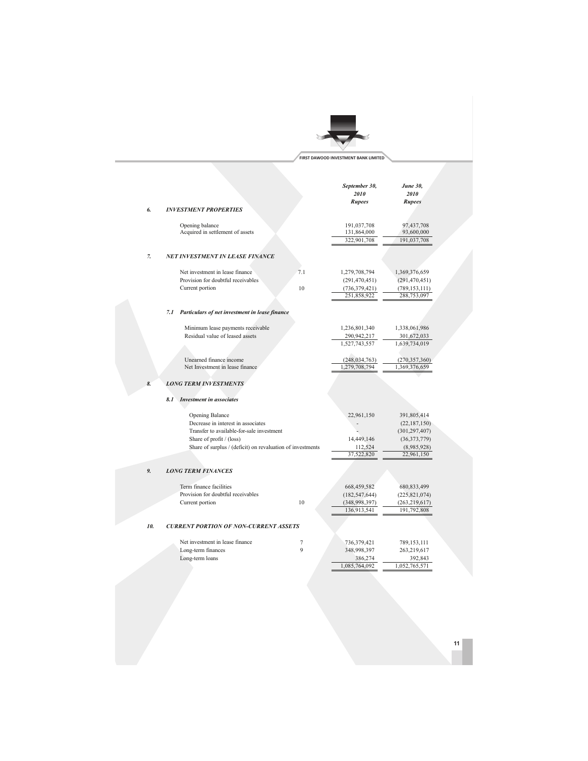

|     |                                                                      | September 30,<br>2010        | <b>June 30,</b><br>2010           |
|-----|----------------------------------------------------------------------|------------------------------|-----------------------------------|
| 6.  | <b>INVESTMENT PROPERTIES</b>                                         | Rupees                       | <b>Rupees</b>                     |
|     |                                                                      |                              |                                   |
|     | Opening balance                                                      | 191,037,708                  | 97,437,708                        |
|     | Acquired in settlement of assets                                     | 131,864,000                  | 93,600,000                        |
|     |                                                                      | 322,901,708                  | 191,037,708                       |
| 7.  | <b>NET INVESTMENT IN LEASE FINANCE</b>                               |                              |                                   |
|     |                                                                      |                              |                                   |
|     | Net investment in lease finance                                      | 7.1<br>1,279,708,794         | 1,369,376,659                     |
|     | Provision for doubtful receivables                                   | (291, 470, 451)              | (291, 470, 451)                   |
|     | Current portion                                                      | 10<br>(736, 379, 421)        | (789, 153, 111)                   |
|     |                                                                      | 251,858,922                  | 288,753,097                       |
|     | 7.1 Particulars of net investment in lease finance                   |                              |                                   |
|     |                                                                      |                              |                                   |
|     | Minimum lease payments receivable<br>Residual value of leased assets | 1,236,801,340<br>290,942,217 | 1,338,061,986                     |
|     |                                                                      | 1,527,743,557                | 301,672,033<br>1,639,734,019      |
|     |                                                                      |                              |                                   |
|     | Unearned finance income                                              | (248, 034, 763)              | (270, 357, 360)                   |
|     | Net Investment in lease finance                                      | 1,279,708,794                | 1,369,376,659                     |
| 8.  | <b>LONG TERM INVESTMENTS</b>                                         |                              |                                   |
|     |                                                                      |                              |                                   |
|     | <b>Investment in associates</b><br>8.1                               |                              |                                   |
|     |                                                                      |                              |                                   |
|     | <b>Opening Balance</b><br>Decrease in interest in associates         | 22,961,150                   | 391,805,414                       |
|     | Transfer to available-for-sale investment                            |                              | (22, 187, 150)<br>(301, 297, 407) |
|     | Share of profit / (loss)                                             | 14,449,146                   | (36,373,779)                      |
|     | Share of surplus / (deficit) on revaluation of investments           | 112,524                      | (8,985,928)                       |
|     |                                                                      | 37,522,820                   | 22,961,150                        |
|     |                                                                      |                              |                                   |
| 9.  | <b>LONG TERM FINANCES</b>                                            |                              |                                   |
|     | Term finance facilities                                              | 668,459,582                  | 680, 833, 499                     |
|     | Provision for doubtful receivables                                   | (182, 547, 644)              | (225, 821, 074)                   |
|     | Current portion                                                      | 10<br>(348,998,397)          | (263, 219, 617)                   |
|     |                                                                      | 136,913,541                  | 191,792,808                       |
| 10. | <b>CURRENT PORTION OF NON-CURRENT ASSETS</b>                         |                              |                                   |
|     |                                                                      |                              |                                   |
|     | Net investment in lease finance                                      | 7<br>736,379,421             | 789,153,111                       |
|     | Long-term finances                                                   | 9<br>348,998,397             | 263,219,617                       |
|     | Long-term loans                                                      | 386,274                      | 392,843                           |
|     |                                                                      | 1,085,764,092                | 1,052,765,571                     |
|     |                                                                      |                              |                                   |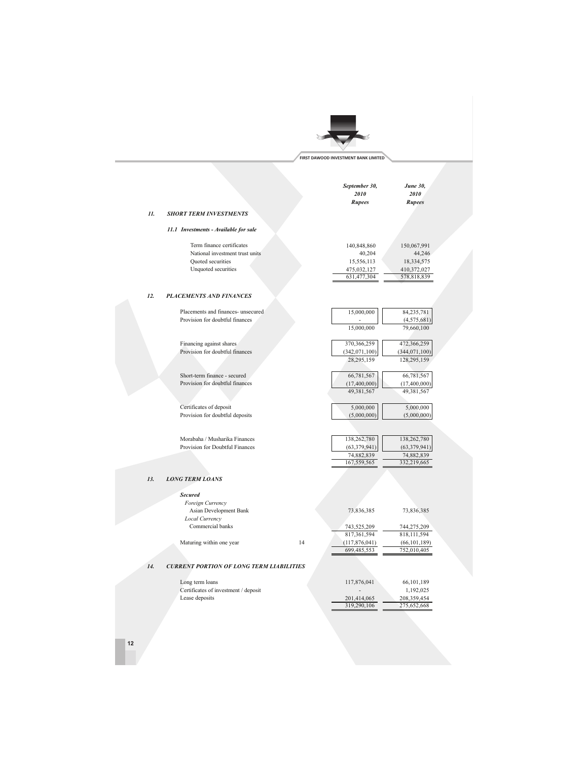# **FIRST DAWOOD INVESTMENT BANK LIMITED**

|     |                                                                                                          | September 30,<br>2010<br>Rupees                                   | June 30,<br>2010<br><b>Rupees</b>                                 |
|-----|----------------------------------------------------------------------------------------------------------|-------------------------------------------------------------------|-------------------------------------------------------------------|
| 11. | <b>SHORT TERM INVESTMENTS</b>                                                                            |                                                                   |                                                                   |
|     | 11.1 Investments - Available for sale                                                                    |                                                                   |                                                                   |
|     | Term finance certificates<br>National investment trust units<br>Quoted securities<br>Unquoted securities | 140,848,860<br>40,204<br>15,556,113<br>475,032,127<br>631,477,304 | 150,067,991<br>44,246<br>18,334,575<br>410,372,027<br>578,818,839 |
| 12. | <b>PLACEMENTS AND FINANCES</b>                                                                           |                                                                   |                                                                   |
|     |                                                                                                          |                                                                   |                                                                   |
|     | Placements and finances- unsecured<br>Provision for doubtful finances                                    | 15,000,000<br>15,000,000                                          | 84,235,781<br>(4, 575, 681)<br>79,660,100                         |
|     | Financing against shares                                                                                 | 370,366,259                                                       | 472,366,259                                                       |
|     | Provision for doubtful finances                                                                          | (342,071,100)<br>28,295,159                                       | (344, 071, 100)<br>128,295,159                                    |
|     | Short-term finance - secured<br>Provision for doubtful finances                                          | 66,781,567<br>(17, 400, 000)<br>49,381,567                        | 66,781,567<br>(17,400,000)<br>49,381,567                          |
|     | Certificates of deposit<br>Provision for doubtful deposits                                               | 5,000,000<br>(5,000,000)                                          | 5,000,000<br>(5,000,000)                                          |
|     | Morabaha / Musharika Finances<br>Provision for Doubtful Finances                                         | 138,262,780<br>(63, 379, 941)<br>74,882,839                       | 138,262,780<br>(63, 379, 941)<br>74,882,839                       |
|     |                                                                                                          | 167,559,565                                                       | 332,219,665                                                       |
| 13. | <b>LONG TERM LOANS</b>                                                                                   |                                                                   |                                                                   |
|     | <b>Secured</b>                                                                                           |                                                                   |                                                                   |
|     | Foreign Currency<br>Asian Development Bank<br>Local Currency                                             | 73,836,385                                                        | 73,836,385                                                        |
|     | Commercial banks                                                                                         | 743,525,209                                                       | 744,275,209                                                       |
|     |                                                                                                          | 817,361,594                                                       | 818,111,594                                                       |
|     | 14<br>Maturing within one year                                                                           | (117,876,041)<br>699,485,553                                      | (66, 101, 189)<br>752,010,405                                     |
| 14. | <b>CURRENT PORTION OF LONG TERM LIABILITIES</b>                                                          |                                                                   |                                                                   |
|     | Long term loans                                                                                          | 117,876,041                                                       | 66,101,189                                                        |
|     | Certificates of investment / deposit                                                                     |                                                                   | 1,192,025                                                         |
|     | Lease deposits                                                                                           | 201,414,065<br>319,290,106                                        | 208,359,454<br>275,652,668                                        |
|     |                                                                                                          |                                                                   |                                                                   |

**12**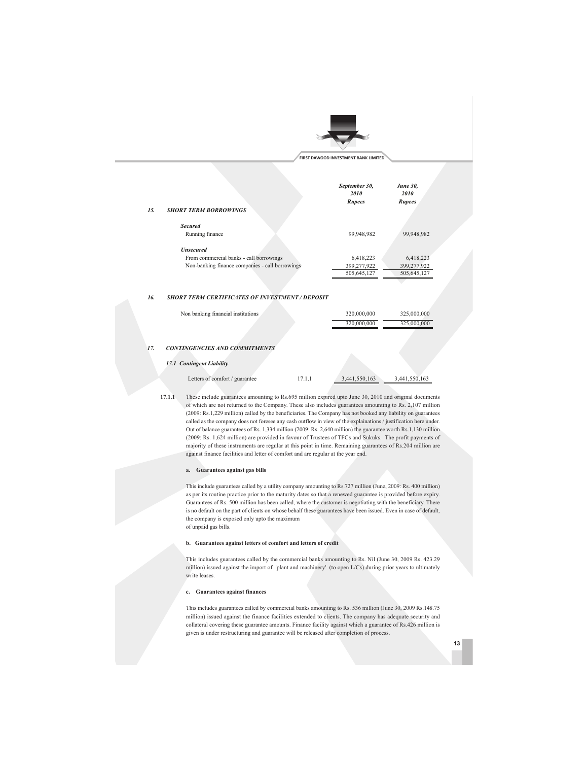

|     |                                                        | September 30,<br>2010<br>Rupees | <b>June 30,</b><br>2010<br>Rupees |  |
|-----|--------------------------------------------------------|---------------------------------|-----------------------------------|--|
| 15. | <b>SHORT TERM BORROWINGS</b>                           |                                 |                                   |  |
|     | <b>Secured</b><br>Running finance                      | 99,948,982                      | 99,948,982                        |  |
|     | <b>Unsecured</b>                                       |                                 |                                   |  |
|     | From commercial banks - call borrowings                | 6,418,223                       | 6,418,223                         |  |
|     | Non-banking finance companies - call borrowings        | 399,277,922                     | 399,277,922                       |  |
|     |                                                        | 505,645,127                     | 505,645,127                       |  |
|     |                                                        |                                 |                                   |  |
| 16. | <b>SHORT TERM CERTIFICATES OF INVESTMENT / DEPOSIT</b> |                                 |                                   |  |

## Non banking financial institutions 320,000,000 325,000,000 320,000,000 325,000,000

#### *17. CONTINGENCIES AND COMMITMENTS*

#### *17.1 Contingent Liability*

| Letters of comfort / guarantee | 17.1.1 | 3.441.550.163 |
|--------------------------------|--------|---------------|
|                                |        |               |

**17.1.1** These include guarantees amounting to Rs.695 million expired upto June 30, 2010 and original documents of which are not returned to the Company. These also includes guarantees amounting to Rs. 2,107 million (2009: Rs.1,229 million) called by the beneficiaries. The Company has not booked any liability on guarantees called as the company does not foresee any cash outflow in view of the explainations / justification here under. Out of balance guarantees of Rs. 1,334 million (2009: Rs. 2,640 million) the guarantee worth Rs.1,130 million (2009: Rs. 1,624 million) are provided in favour of Trustees of TFCs and Sukuks. The profit payments of majority of these instruments are regular at this point in time. Remaining guarantees of Rs.204 million are against finance facilities and letter of comfort and are regular at the year end.

#### **a. Guarantees against gas bills**

This include guarantees called by a utility company amounting to Rs.727 million (June, 2009: Rs. 400 million) as per its routine practice prior to the maturity dates so that a renewed guarantee is provided before expiry. Guarantees of Rs. 500 million has been called, where the customer is negotiating with the beneficiary. There is no default on the part of clients on whose behalf these guarantees have been issued. Even in case of default, the company is exposed only upto the maximum of unpaid gas bills.

#### **b. Guarantees against letters of comfort and letters of credit**

This includes guarantees called by the commercial banks amounting to Rs. Nil (June 30, 2009 Rs. 423.29 million) issued against the import of 'plant and machinery' (to open L/Cs) during prior years to ultimately write leases.

#### **c. Guarantees against finances**

This includes guarantees called by commercial banks amounting to Rs. 536 million (June 30, 2009 Rs.148.75 million) issued against the finance facilities extended to clients. The company has adequate security and collateral covering these guarantee amounts. Finance facility against which a guarantee of Rs.426 million is given is under restructuring and guarantee will be released after completion of process.

**13**

Letters of comfort / guarantee 17.1.1 3,441,550,163 3,441,550,163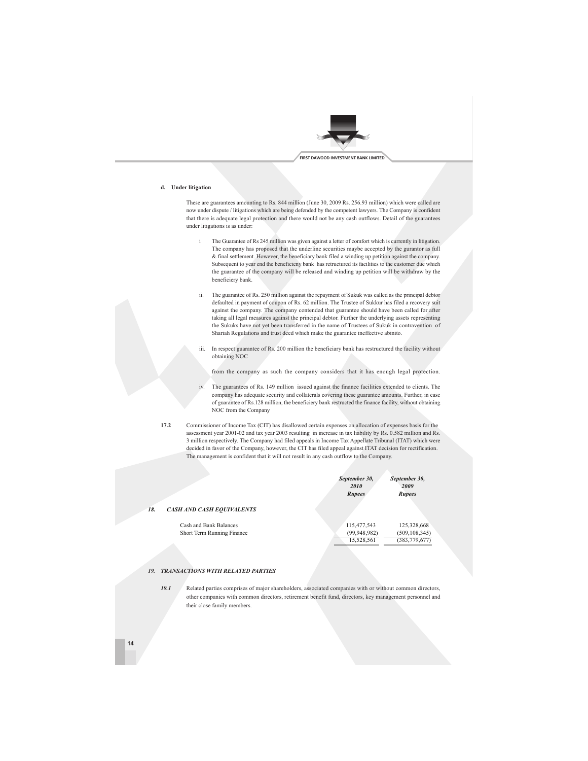

#### **d. Under litigation**

These are guarantees amounting to Rs. 844 million (June 30, 2009 Rs. 256.93 million) which were called are now under dispute / litigations which are being defended by the competent lawyers. The Company is confident that there is adequate legal protection and there would not be any cash outflows. Detail of the guarantees under litigations is as under:

- The Guarantee of Rs 245 million was given against a letter of comfort which is currently in litigation. The company has proposed that the underline securities maybe accepted by the gurantor as full & final settlement. However, the beneficiary bank filed a winding up petition against the company. Subsequent to year end the beneficieny bank has retructured its facilities to the customer due which the guarantee of the company will be released and winding up petition will be withdraw by the beneficiery bank.
- ii. The guarantee of Rs. 250 million against the repayment of Sukuk was called as the principal debtor defaulted in payment of coupon of Rs. 62 million. The Trustee of Sukkur has filed a recovery suit against the company. The company contended that guarantee should have been called for after taking all legal measures against the principal debtor. Further the underlying assets representing the Sukuks have not yet been transferred in the name of Trustees of Sukuk in contravention of Shariah Regulations and trust deed which make the guarantee ineffective abinito.
- iii. In respect guarantee of Rs. 200 million the beneficiary bank has restructured the facility without obtaining NOC

from the company as such the company considers that it has enough legal protection.

iv. The guarantees of Rs. 149 million issued against the finance facilities extended to clients. The company has adequate security and collaterals covering these guarantee amounts. Further, in case of guarantee of Rs.128 million, the beneficiery bank restructed the finance facility, without obtaining NOC from the Company

**17.2** Commissioner of Income Tax (CIT) has disallowed certain expenses on allocation of expenses basis for the assessment year 2001-02 and tax year 2003 resulting in increase in tax liability by Rs. 0.582 million and Rs. 3 million respectively. The Company had filed appeals in Income Tax Appellate Tribunal (ITAT) which were decided in favor of the Company, however, the CIT has filed appeal against ITAT decision for rectification. The management is confident that it will not result in any cash outflow to the Company.

|                                         | September 30,<br>2010<br>Rupees | September 30,<br>2009<br>Rupees |
|-----------------------------------------|---------------------------------|---------------------------------|
| 18.<br><b>CASH AND CASH EQUIVALENTS</b> |                                 |                                 |
| Cash and Bank Balances                  | 115,477,543                     | 125,328,668                     |
| Short Term Running Finance              | (99, 948, 982)                  | (509, 108, 345)                 |
|                                         | 15,528,561                      | (383, 779, 677)                 |

#### *19. TRANSACTIONS WITH RELATED PARTIES*

*19.1* Related parties comprises of major shareholders, associated companies with or without common directors, other companies with common directors, retirement benefit fund, directors, key management personnel and their close family members.